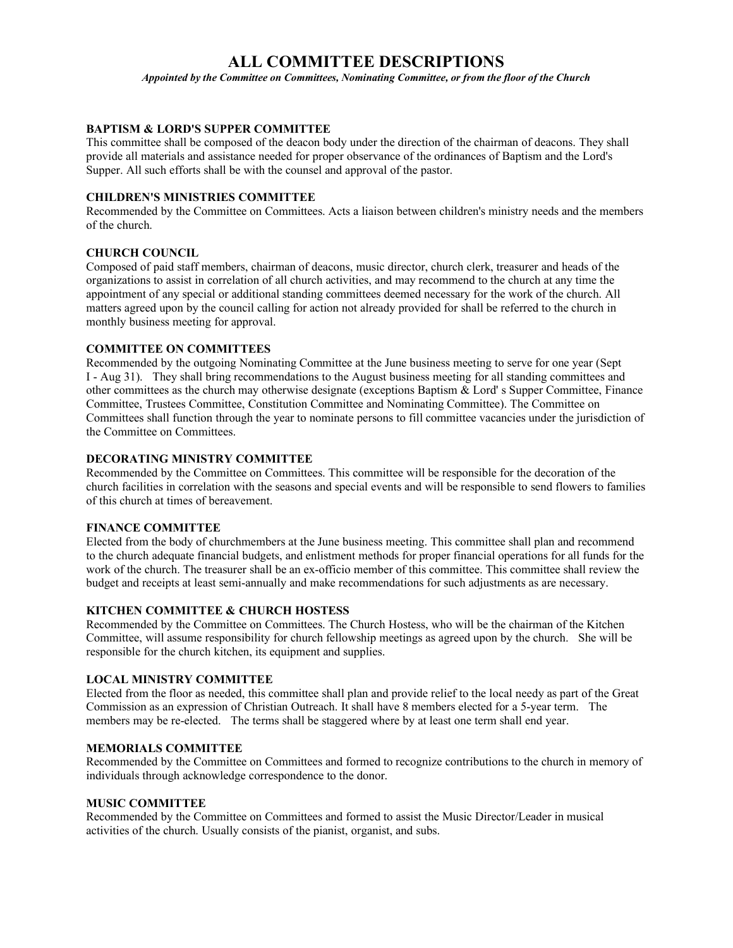# **ALL COMMITTEE DESCRIPTIONS**

*Appointed by the Committee on Committees, Nominating Committee, or from the floor of the Church*

## **BAPTISM & LORD'S SUPPER COMMITTEE**

This committee shall be composed of the deacon body under the direction of the chairman of deacons. They shall provide all materials and assistance needed for proper observance of the ordinances of Baptism and the Lord's Supper. All such efforts shall be with the counsel and approval of the pastor.

# **CHILDREN'S MINISTRIES COMMITTEE**

Recommended by the Committee on Committees. Acts a liaison between children's ministry needs and the members of the church.

### **CHURCH COUNCIL**

Composed of paid staff members, chairman of deacons, music director, church clerk, treasurer and heads of the organizations to assist in correlation of all church activities, and may recommend to the church at any time the appointment of any special or additional standing committees deemed necessary for the work of the church. All matters agreed upon by the council calling for action not already provided for shall be referred to the church in monthly business meeting for approval.

# **COMMITTEE ON COMMITTEES**

Recommended by the outgoing Nominating Committee at the June business meeting to serve for one year (Sept I - Aug 31). They shall bring recommendations to the August business meeting for all standing committees and other committees as the church may otherwise designate (exceptions Baptism & Lord' s Supper Committee, Finance Committee, Trustees Committee, Constitution Committee and Nominating Committee). The Committee on Committees shall function through the year to nominate persons to fill committee vacancies under the jurisdiction of the Committee on Committees.

#### **DECORATING MINISTRY COMMITTEE**

Recommended by the Committee on Committees. This committee will be responsible for the decoration of the church facilities in correlation with the seasons and special events and will be responsible to send flowers to families of this church at times of bereavement.

## **FINANCE COMMITTEE**

Elected from the body of churchmembers at the June business meeting. This committee shall plan and recommend to the church adequate financial budgets, and enlistment methods for proper financial operations for all funds for the work of the church. The treasurer shall be an ex-officio member of this committee. This committee shall review the budget and receipts at least semi-annually and make recommendations for such adjustments as are necessary.

#### **KITCHEN COMMITTEE & CHURCH HOSTESS**

Recommended by the Committee on Committees. The Church Hostess, who will be the chairman of the Kitchen Committee, will assume responsibility for church fellowship meetings as agreed upon by the church. She will be responsible for the church kitchen, its equipment and supplies.

#### **LOCAL MINISTRY COMMITTEE**

Elected from the floor as needed, this committee shall plan and provide relief to the local needy as part of the Great Commission as an expression of Christian Outreach. It shall have 8 members elected for a 5-year term. The members may be re-elected. The terms shall be staggered where by at least one term shall end year.

#### **MEMORIALS COMMITTEE**

Recommended by the Committee on Committees and formed to recognize contributions to the church in memory of individuals through acknowledge correspondence to the donor.

#### **MUSIC COMMITTEE**

Recommended by the Committee on Committees and formed to assist the Music Director/Leader in musical activities of the church. Usually consists of the pianist, organist, and subs.